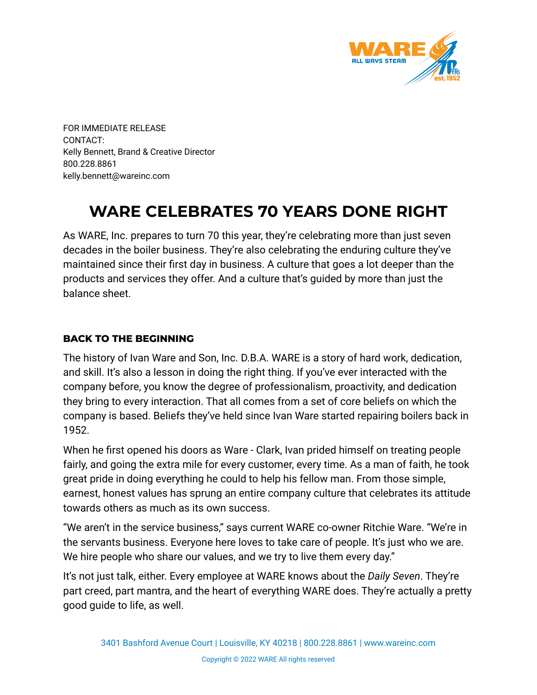

FOR IMMEDIATE RELEASE CONTACT: Kelly Bennett, Brand & Creative Director 800.228.8861 kelly.bennett@wareinc.com

# **WARE CELEBRATES 70 YEARS DONE RIGHT**

As WARE, Inc. prepares to turn 70 this year, they're celebrating more than just seven decades in the boiler business. They're also celebrating the enduring culture they've maintained since their first day in business. A culture that goes a lot deeper than the products and services they offer. And a culture that's guided by more than just the balance sheet.

#### **BACK TO THE BEGINNING**

The history of Ivan Ware and Son, Inc. D.B.A. WARE is a story of hard work, dedication, and skill. It's also a lesson in doing the right thing. If you've ever interacted with the company before, you know the degree of professionalism, proactivity, and dedication they bring to every interaction. That all comes from a set of core beliefs on which the company is based. Beliefs they've held since Ivan Ware started repairing boilers back in 1952.

When he first opened his doors as Ware - Clark, Ivan prided himself on treating people fairly, and going the extra mile for every customer, every time. As a man of faith, he took great pride in doing everything he could to help his fellow man. From those simple, earnest, honest values has sprung an entire company culture that celebrates its attitude towards others as much as its own success.

"We aren't in the service business," says current WARE co-owner Ritchie Ware. "We're in the servants business. Everyone here loves to take care of people. It's just who we are. We hire people who share our values, and we try to live them every day."

It's not just talk, either. Every employee at WARE knows about the *Daily Seven*. They're part creed, part mantra, and the heart of everything WARE does. They're actually a pretty good guide to life, as well.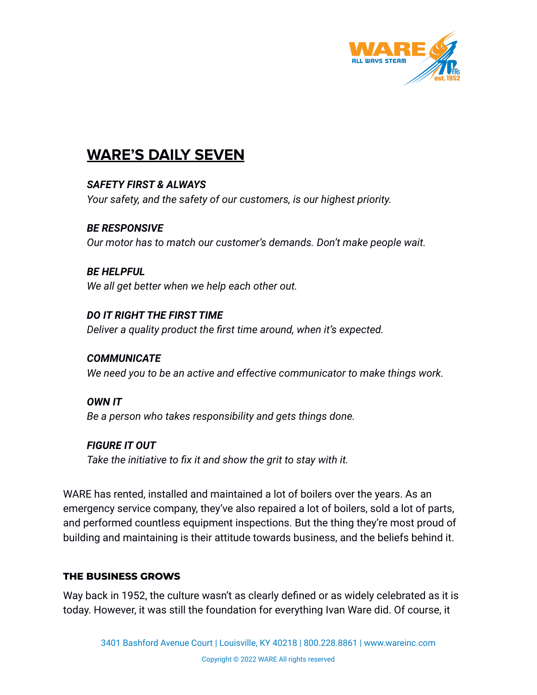

## **WARE'S DAILY SEVEN**

*SAFETY FIRST & ALWAYS Your safety, and the safety of our customers, is our highest priority.*

*BE RESPONSIVE Our motor has to match our customer's demands. Don't make people wait.*

*BE HELPFUL We all get better when we help each other out.*

*DO IT RIGHT THE FIRST TIME Deliver a quality product the first time around, when it's expected.*

*COMMUNICATE We need you to be an active and effective communicator to make things work.*

*OWN IT Be a person who takes responsibility and gets things done.*

*FIGURE IT OUT Take the initiative to fix it and show the grit to stay with it.*

WARE has rented, installed and maintained a lot of boilers over the years. As an emergency service company, they've also repaired a lot of boilers, sold a lot of parts, and performed countless equipment inspections. But the thing they're most proud of building and maintaining is their attitude towards business, and the beliefs behind it.

#### **THE BUSINESS GROWS**

Way back in 1952, the culture wasn't as clearly defined or as widely celebrated as it is today. However, it was still the foundation for everything Ivan Ware did. Of course, it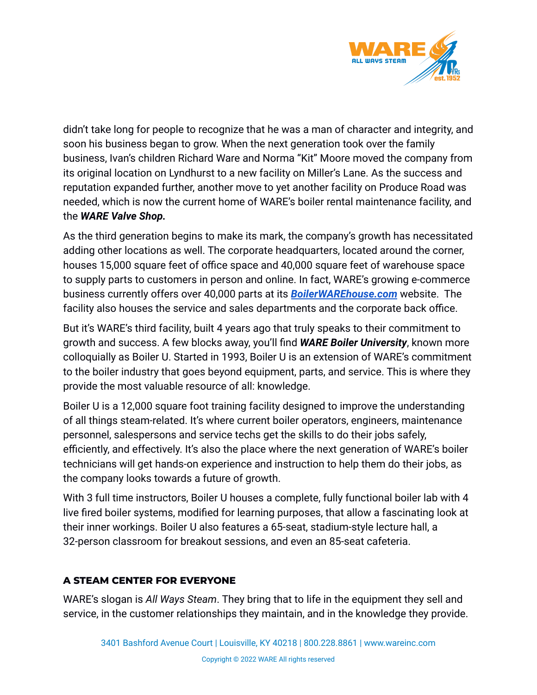

didn't take long for people to recognize that he was a man of character and integrity, and soon his business began to grow. When the next generation took over the family business, Ivan's children Richard Ware and Norma "Kit" Moore moved the company from its original location on Lyndhurst to a new facility on Miller's Lane. As the success and reputation expanded further, another move to yet another facility on Produce Road was needed, which is now the current home of WARE's boiler rental maintenance facility, and the *WARE Valve Shop.*

As the third generation begins to make its mark, the company's growth has necessitated adding other locations as well. The corporate headquarters, located around the corner, houses 15,000 square feet of office space and 40,000 square feet of warehouse space to supply parts to customers in person and online. In fact, WARE's growing e-commerce business currently offers over 40,000 parts at its *[BoilerWAREhouse.com](https://www.boilerwarehouse.com/)* website. The facility also houses the service and sales departments and the corporate back office.

But it's WARE's third facility, built 4 years ago that truly speaks to their commitment to growth and success. A few blocks away, you'll find *WARE Boiler University*, known more colloquially as Boiler U. Started in 1993, Boiler U is an extension of WARE's commitment to the boiler industry that goes beyond equipment, parts, and service. This is where they provide the most valuable resource of all: knowledge.

Boiler U is a 12,000 square foot training facility designed to improve the understanding of all things steam-related. It's where current boiler operators, engineers, maintenance personnel, salespersons and service techs get the skills to do their jobs safely, efficiently, and effectively. It's also the place where the next generation of WARE's boiler technicians will get hands-on experience and instruction to help them do their jobs, as the company looks towards a future of growth.

With 3 full time instructors, Boiler U houses a complete, fully functional boiler lab with 4 live fired boiler systems, modified for learning purposes, that allow a fascinating look at their inner workings. Boiler U also features a 65-seat, stadium-style lecture hall, a 32-person classroom for breakout sessions, and even an 85-seat cafeteria.

### **A STEAM CENTER FOR EVERYONE**

WARE's slogan is *All Ways Steam*. They bring that to life in the equipment they sell and service, in the customer relationships they maintain, and in the knowledge they provide.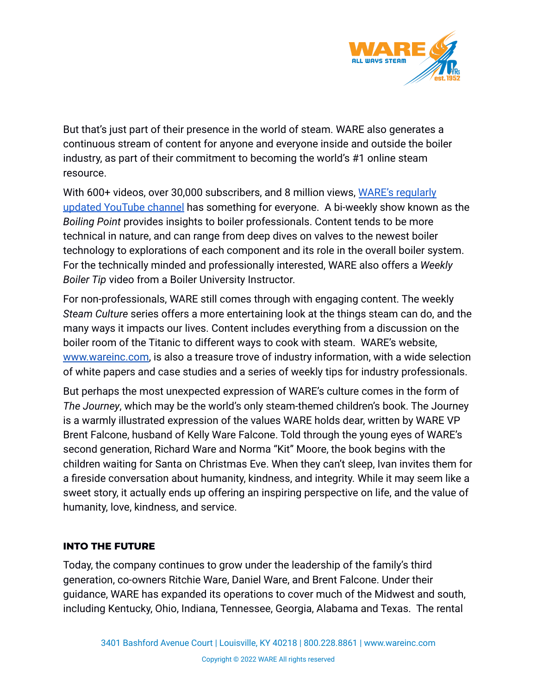

But that's just part of their presence in the world of steam. WARE also generates a continuous stream of content for anyone and everyone inside and outside the boiler industry, as part of their commitment to becoming the world's #1 online steam resource.

With 600+ videos, over 30,000 subscribers, and 8 million views, [WARE's regularly](https://www.youtube.com/channel/UCNRXHwAfOsAANg5tx4r-G2A) [updated YouTube channel](https://www.youtube.com/channel/UCNRXHwAfOsAANg5tx4r-G2A) has something for everyone. A bi-weekly show known as the *Boiling Point* provides insights to boiler professionals. Content tends to be more technical in nature, and can range from deep dives on valves to the newest boiler technology to explorations of each component and its role in the overall boiler system. For the technically minded and professionally interested, WARE also offers a *Weekly Boiler Tip* video from a Boiler University Instructor.

For non-professionals, WARE still comes through with engaging content. The weekly *Steam Culture* series offers a more entertaining look at the things steam can do, and the many ways it impacts our lives. Content includes everything from a discussion on the boiler room of the Titanic to different ways to cook with steam. WARE's website, [www.wareinc.com,](http://www.wareinc.com) is also a treasure trove of industry information, with a wide selection of white papers and case studies and a series of weekly tips for industry professionals.

But perhaps the most unexpected expression of WARE's culture comes in the form of *The Journey*, which may be the world's only steam-themed children's book. The Journey is a warmly illustrated expression of the values WARE holds dear, written by WARE VP Brent Falcone, husband of Kelly Ware Falcone. Told through the young eyes of WARE's second generation, Richard Ware and Norma "Kit" Moore, the book begins with the children waiting for Santa on Christmas Eve. When they can't sleep, Ivan invites them for a fireside conversation about humanity, kindness, and integrity. While it may seem like a sweet story, it actually ends up offering an inspiring perspective on life, and the value of humanity, love, kindness, and service.

#### **INTO THE FUTURE**

Today, the company continues to grow under the leadership of the family's third generation, co-owners Ritchie Ware, Daniel Ware, and Brent Falcone. Under their guidance, WARE has expanded its operations to cover much of the Midwest and south, including Kentucky, Ohio, Indiana, Tennessee, Georgia, Alabama and Texas. The rental